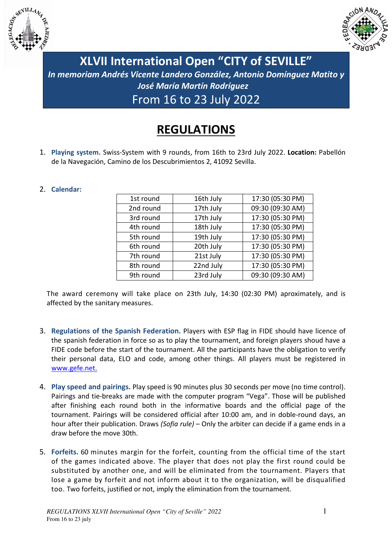



**XLVII International Open "CITY of SEVILLE"**  *In memoriam Andrés Vicente Landero González, Antonio Domínguez Matito y José María Martín Rodríguez*  From 16 to 23 July 2022

## **REGULATIONS**

1. **Playing system.** Swiss-System with 9 rounds, from 16th to 23rd July 2022. **Location:** Pabellón de la Navegación, Camino de los Descubrimientos 2, 41092 Sevilla.

## 2. **Calendar:**

| 16th July | 17:30 (05:30 PM) |
|-----------|------------------|
| 17th July | 09:30 (09:30 AM) |
| 17th July | 17:30 (05:30 PM) |
| 18th July | 17:30 (05:30 PM) |
| 19th July | 17:30 (05:30 PM) |
| 20th July | 17:30 (05:30 PM) |
| 21st July | 17:30 (05:30 PM) |
| 22nd July | 17:30 (05:30 PM) |
| 23rd July | 09:30 (09:30 AM) |
|           |                  |

The award ceremony will take place on 23th July, 14:30 (02:30 PM) aproximately, and is affected by the sanitary measures.

- 3. **Regulations of the Spanish Federation.** Players with ESP flag in FIDE should have licence of the spanish federation in force so as to play the tournament, and foreign players shoud have a FIDE code before the start of the tournament. All the participants have the obligation to verify their personal data, ELO and code, among other things. All players must be registered in www.gefe.net.
- 4. **Play speed and pairings.** Play speed is 90 minutes plus 30 seconds per move (no time control). Pairings and tie-breaks are made with the computer program "Vega". Those will be published after finishing each round both in the informative boards and the official page of the tournament. Pairings will be considered official after 10:00 am, and in doble-round days, an hour after their publication. Draws *(Sofia rule)* – Only the arbiter can decide if a game ends in a draw before the move 30th.
- 5. **Forfeits.** 60 minutes margin for the forfeit, counting from the official time of the start of the games indicated above. The player that does not play the first round could be substituted by another one, and will be eliminated from the tournament. Players that lose a game by forfeit and not inform about it to the organization, will be disqualified too. Two forfeits, justified or not, imply the elimination from the tournament.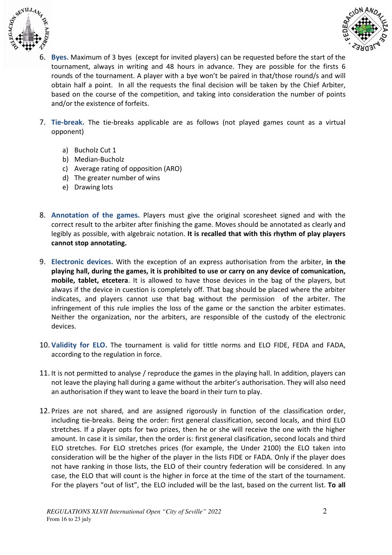



- 6. **Byes.** Maximum of 3 byes (except for invited players) can be requested before the start of the tournament, always in writing and 48 hours in advance. They are possible for the firsts 6 rounds of the tournament. A player with a bye won't be paired in that/those round/s and will obtain half a point. In all the requests the final decision will be taken by the Chief Arbiter, based on the course of the competition, and taking into consideration the number of points and/or the existence of forfeits.
- 7. **Tie-break.** The tie-breaks applicable are as follows (not played games count as a virtual opponent)
	- a) Bucholz Cut 1
	- b) Median-Bucholz
	- c) Average rating of opposition (ARO)
	- d) The greater number of wins
	- e) Drawing lots
- 8. **Annotation of the games.** Players must give the original scoresheet signed and with the correct result to the arbiter after finishing the game. Moves should be annotated as clearly and legibly as possible, with algebraic notation. **It is recalled that with this rhythm of play players cannot stop annotating.**
- 9. **Electronic devices.** With the exception of an express authorisation from the arbiter, **in the playing hall, during the games, it is prohibited to use or carry on any device of comunication, mobile, tablet, etcetera**. It is allowed to have those devices in the bag of the players, but always if the device in cuestion is completely off. That bag should be placed where the arbiter indicates, and players cannot use that bag without the permission of the arbiter. The infringement of this rule implies the loss of the game or the sanction the arbiter estimates. Neither the organization, nor the arbiters, are responsible of the custody of the electronic devices.
- 10. **Validity for ELO.** The tournament is valid for tittle norms and ELO FIDE, FEDA and FADA, according to the regulation in force.
- 11. It is not permitted to analyse / reproduce the games in the playing hall. In addition, players can not leave the playing hall during a game without the arbiter's authorisation. They will also need an authorisation if they want to leave the board in their turn to play.
- 12. Prizes are not shared, and are assigned rigorously in function of the classification order, including tie-breaks. Being the order: first general classification, second locals, and third ELO stretches. If a player opts for two prizes, then he or she will receive the one with the higher amount. In case it is similar, then the order is: first general clasification, second locals and third ELO stretches. For ELO stretches prices (for example, the Under 2100) the ELO taken into consideration will be the higher of the player in the lists FIDE or FADA. Only if the player does not have ranking in those lists, the ELO of their country federation will be considered. In any case, the ELO that will count is the higher in force at the time of the start of the tournament. For the players "out of list", the ELO included will be the last, based on the current list. **To all**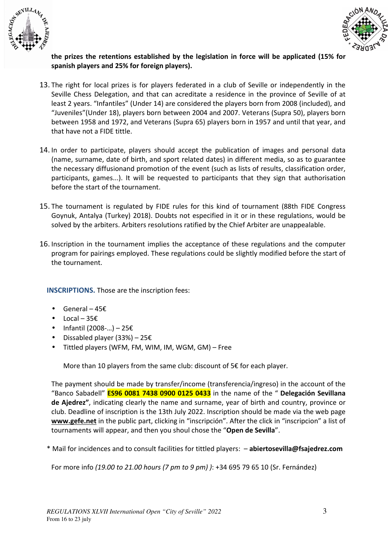



## **the prizes the retentions established by the legislation in force will be applicated (15% for spanish players and 25% for foreign players).**

- 13. The right for local prizes is for players federated in a club of Seville or independently in the Seville Chess Delegation, and that can acreditate a residence in the province of Seville of at least 2 years. "Infantiles" (Under 14) are considered the players born from 2008 (included), and "Juveniles"(Under 18), players born between 2004 and 2007. Veterans (Supra 50), players born between 1958 and 1972, and Veterans (Supra 65) players born in 1957 and until that year, and that have not a FIDE tittle.
- 14. In order to participate, players should accept the publication of images and personal data (name, surname, date of birth, and sport related dates) in different media, so as to guarantee the necessary diffusionand promotion of the event (such as lists of results, classification order, participants, games...). It will be requested to participants that they sign that authorisation before the start of the tournament.
- 15. The tournament is regulated by FIDE rules for this kind of tournament (88th FIDE Congress Goynuk, Antalya (Turkey) 2018). Doubts not especified in it or in these regulations, would be solved by the arbiters. Arbiters resolutions ratified by the Chief Arbiter are unappealable.
- 16. Inscription in the tournament implies the acceptance of these regulations and the computer program for pairings employed. These regulations could be slightly modified before the start of the tournament.

**INSCRIPTIONS.** Those are the inscription fees:

- General  $45E$
- Local  $35\epsilon$
- Infantil (2008-…) 25€
- Dissabled player (33%) 25€
- Tittled players (WFM, FM, WIM, IM, WGM, GM) Free

More than 10 players from the same club: discount of 5€ for each player.

The payment should be made by transfer/income (transferencia/ingreso) in the account of the "Banco Sabadell" **ES96 0081 7438 0900 0125 0433** in the name of the " **Delegación Sevillana de Ajedrez"**, indicating clearly the name and surname, year of birth and country, province or club. Deadline of inscription is the 13th July 2022. Inscription should be made via the web page **www.gefe.net** in the public part, clicking in "inscripción". After the click in "inscripcion" a list of tournaments will appear, and then you shoul chose the "**Open de Sevilla**".

\* Mail for incidences and to consult facilities for tittled players: – **abiertosevilla@fsajedrez.com**

For more info *(19.00 to 21.00 hours (7 pm to 9 pm) )*: +34 695 79 65 10 (Sr. Fernández)